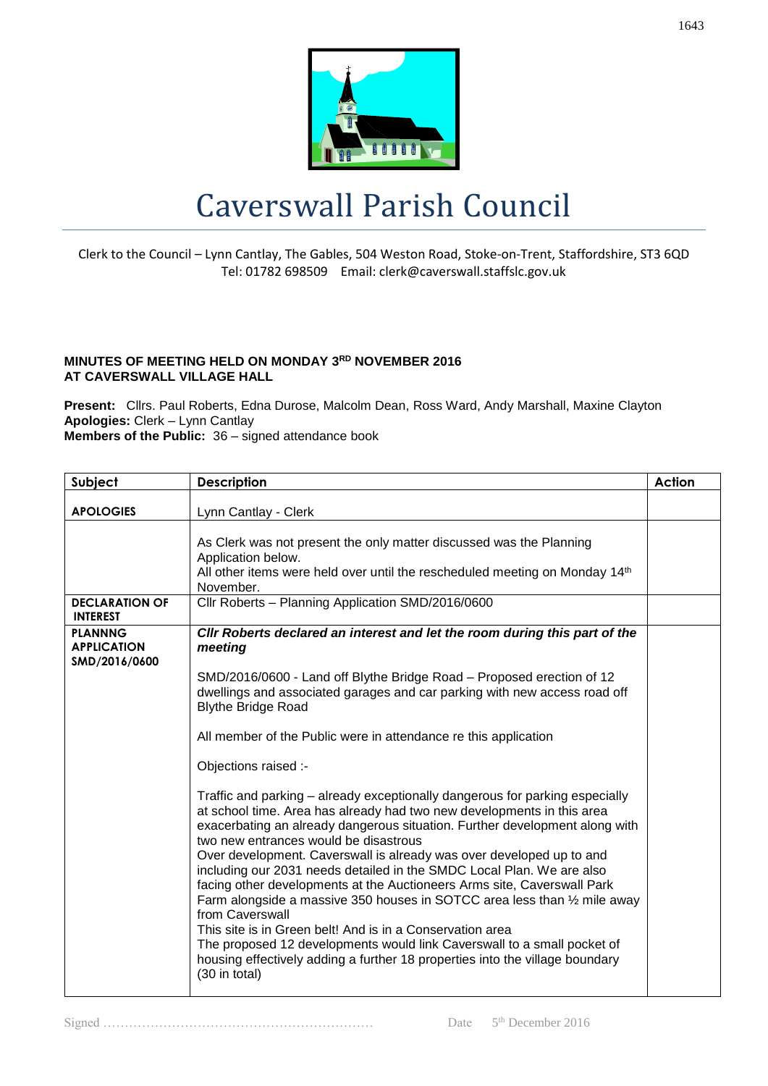

## Caverswall Parish Council

Clerk to the Council – Lynn Cantlay, The Gables, 504 Weston Road, Stoke-on-Trent, Staffordshire, ST3 6QD Tel: 01782 698509 Email: clerk@caverswall.staffslc.gov.uk

## **MINUTES OF MEETING HELD ON MONDAY 3RD NOVEMBER 2016 AT CAVERSWALL VILLAGE HALL**

**Present:** Cllrs. Paul Roberts, Edna Durose, Malcolm Dean, Ross Ward, Andy Marshall, Maxine Clayton **Apologies:** Clerk – Lynn Cantlay **Members of the Public:** 36 – signed attendance book

| Subject                                               | <b>Description</b>                                                                                                                                                                                                                                                                                                                                                                                                                                                                                                                                                                                                                                                                                                                                                                                                                                  | Action |
|-------------------------------------------------------|-----------------------------------------------------------------------------------------------------------------------------------------------------------------------------------------------------------------------------------------------------------------------------------------------------------------------------------------------------------------------------------------------------------------------------------------------------------------------------------------------------------------------------------------------------------------------------------------------------------------------------------------------------------------------------------------------------------------------------------------------------------------------------------------------------------------------------------------------------|--------|
| <b>APOLOGIES</b>                                      | Lynn Cantlay - Clerk                                                                                                                                                                                                                                                                                                                                                                                                                                                                                                                                                                                                                                                                                                                                                                                                                                |        |
|                                                       | As Clerk was not present the only matter discussed was the Planning<br>Application below.<br>All other items were held over until the rescheduled meeting on Monday 14th<br>November.                                                                                                                                                                                                                                                                                                                                                                                                                                                                                                                                                                                                                                                               |        |
| <b>DECLARATION OF</b><br><b>INTEREST</b>              | Cllr Roberts - Planning Application SMD/2016/0600                                                                                                                                                                                                                                                                                                                                                                                                                                                                                                                                                                                                                                                                                                                                                                                                   |        |
| <b>PLANNNG</b><br><b>APPLICATION</b><br>SMD/2016/0600 | CIIr Roberts declared an interest and let the room during this part of the<br>meeting                                                                                                                                                                                                                                                                                                                                                                                                                                                                                                                                                                                                                                                                                                                                                               |        |
|                                                       | SMD/2016/0600 - Land off Blythe Bridge Road - Proposed erection of 12<br>dwellings and associated garages and car parking with new access road off<br><b>Blythe Bridge Road</b>                                                                                                                                                                                                                                                                                                                                                                                                                                                                                                                                                                                                                                                                     |        |
|                                                       | All member of the Public were in attendance re this application                                                                                                                                                                                                                                                                                                                                                                                                                                                                                                                                                                                                                                                                                                                                                                                     |        |
|                                                       | Objections raised :-                                                                                                                                                                                                                                                                                                                                                                                                                                                                                                                                                                                                                                                                                                                                                                                                                                |        |
|                                                       | Traffic and parking – already exceptionally dangerous for parking especially<br>at school time. Area has already had two new developments in this area<br>exacerbating an already dangerous situation. Further development along with<br>two new entrances would be disastrous<br>Over development. Caverswall is already was over developed up to and<br>including our 2031 needs detailed in the SMDC Local Plan. We are also<br>facing other developments at the Auctioneers Arms site, Caverswall Park<br>Farm alongside a massive 350 houses in SOTCC area less than 1/2 mile away<br>from Caverswall<br>This site is in Green belt! And is in a Conservation area<br>The proposed 12 developments would link Caverswall to a small pocket of<br>housing effectively adding a further 18 properties into the village boundary<br>(30 in total) |        |

Signed ……………………………………………………… Date 5